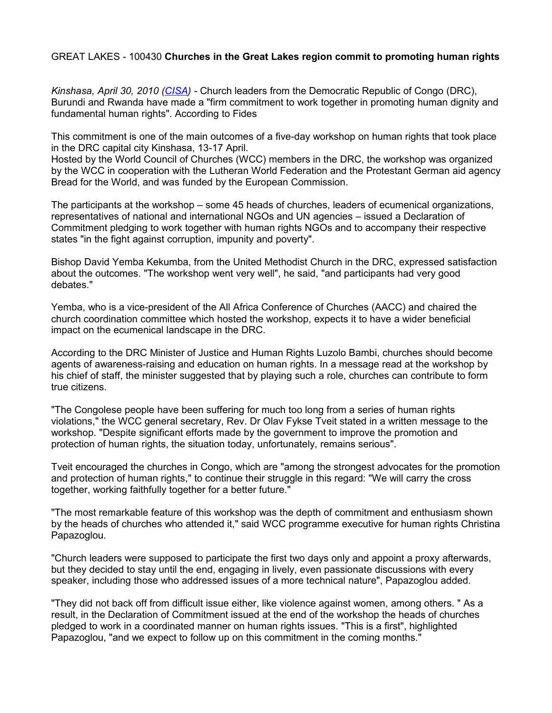## GREAT LAKES - 100430 **Churches in the Great Lakes region commit to promoting human rights**

*Kinshasa, April 30, 2010 [\(CISA\)](http://www.cisanewsafrica.org/) -* Church leaders from the Democratic Republic of Congo (DRC), Burundi and Rwanda have made a "firm commitment to work together in promoting human dignity and fundamental human rights". According to Fides

This commitment is one of the main outcomes of a five-day workshop on human rights that took place in the DRC capital city Kinshasa, 13-17 April.

Hosted by the World Council of Churches (WCC) members in the DRC, the workshop was organized by the WCC in cooperation with the Lutheran World Federation and the Protestant German aid agency Bread for the World, and was funded by the European Commission.

The participants at the workshop – some 45 heads of churches, leaders of ecumenical organizations, representatives of national and international NGOs and UN agencies – issued a Declaration of Commitment pledging to work together with human rights NGOs and to accompany their respective states "in the fight against corruption, impunity and poverty".

Bishop David Yemba Kekumba, from the United Methodist Church in the DRC, expressed satisfaction about the outcomes. "The workshop went very well", he said, "and participants had very good debates."

Yemba, who is a vice-president of the All Africa Conference of Churches (AACC) and chaired the church coordination committee which hosted the workshop, expects it to have a wider beneficial impact on the ecumenical landscape in the DRC.

According to the DRC Minister of Justice and Human Rights Luzolo Bambi, churches should become agents of awareness-raising and education on human rights. In a message read at the workshop by his chief of staff, the minister suggested that by playing such a role, churches can contribute to form true citizens.

"The Congolese people have been suffering for much too long from a series of human rights violations," the WCC general secretary, Rev. Dr Olav Fykse Tveit stated in a written message to the workshop. "Despite significant efforts made by the government to improve the promotion and protection of human rights, the situation today, unfortunately, remains serious".

Tveit encouraged the churches in Congo, which are "among the strongest advocates for the promotion and protection of human rights," to continue their struggle in this regard: "We will carry the cross together, working faithfully together for a better future."

"The most remarkable feature of this workshop was the depth of commitment and enthusiasm shown by the heads of churches who attended it," said WCC programme executive for human rights Christina Papazoglou.

"Church leaders were supposed to participate the first two days only and appoint a proxy afterwards, but they decided to stay until the end, engaging in lively, even passionate discussions with every speaker, including those who addressed issues of a more technical nature", Papazoglou added.

"They did not back off from difficult issue either, like violence against women, among others. " As a result, in the Declaration of Commitment issued at the end of the workshop the heads of churches pledged to work in a coordinated manner on human rights issues. "This is a first", highlighted Papazoglou, "and we expect to follow up on this commitment in the coming months."